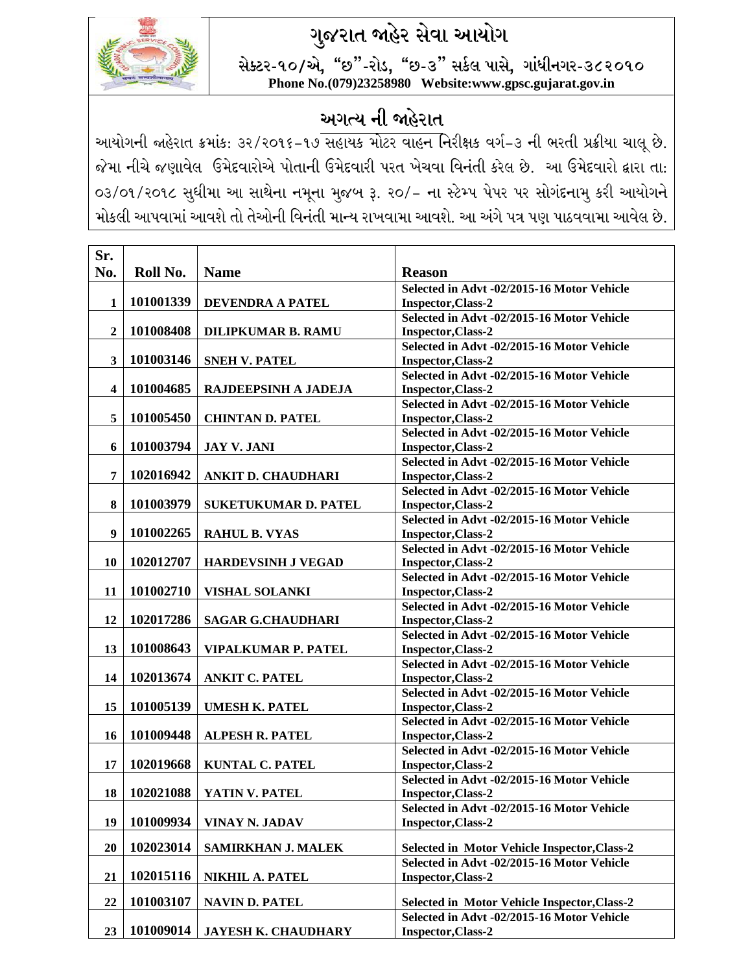## **ગુજરાત જાહેર સેવા આયોગ**



**સેક્ટર-૧૦/એ, "છ"-રોડ, "છ-૩" સર્કલ પાસે, ગાાંધીનગર-૩૮૨૦૧૦ Phone No.(079)23258980 Website:www.gpsc.gujarat.gov.in**

## **અગત્ય ની જાહેરાત**

આયોગની જાહેરાત ક્રમાંક: ૩૨/૨૦૧૬-૧૭ સહાયક મોટર વાહન નિરીક્ષક વર્ગ-૩ ની ભરતી પ્રક્રીયા ચાલૂ છે. જેમા નીચે જણાવેલ ઉમેદવારોએ પોતાની ઉમેદવારી પરત ખેચવા વિનંતી કરેલ છે. આ ઉમેદવારો દ્વારા તા: ૦૩/૦૧/૨૦૧૮ સુધીમા આ સાથેના નમૂના મુજબ રૂ. ૨૦/- ના સ્ટેમ્પ પેપર પર સોગાંદનામુ કરી આયોગને મોકલી આપવામાં આવશે તો તેઓની વિનંતી માન્ય રાખવામા આવશે. આ અંગે પત્ર પણ પાઠવવામા આવેલ છે.

| Sr.                     |           |                                 |                                                                  |
|-------------------------|-----------|---------------------------------|------------------------------------------------------------------|
| No.                     | Roll No.  | <b>Name</b>                     | <b>Reason</b>                                                    |
| $\mathbf{1}$            | 101001339 | <b>DEVENDRA A PATEL</b>         | Selected in Advt -02/2015-16 Motor Vehicle<br>Inspector, Class-2 |
|                         |           |                                 | Selected in Advt -02/2015-16 Motor Vehicle                       |
| $\overline{2}$          | 101008408 | <b>DILIPKUMAR B. RAMU</b>       | Inspector, Class-2                                               |
|                         |           |                                 | Selected in Advt -02/2015-16 Motor Vehicle                       |
| $\mathbf{3}$            | 101003146 | <b>SNEH V. PATEL</b>            | Inspector, Class-2                                               |
| $\overline{\mathbf{4}}$ | 101004685 | RAJDEEPSINH A JADEJA            | Selected in Advt -02/2015-16 Motor Vehicle<br>Inspector, Class-2 |
|                         |           |                                 | Selected in Advt -02/2015-16 Motor Vehicle                       |
| 5                       | 101005450 | <b>CHINTAN D. PATEL</b>         | Inspector, Class-2                                               |
|                         |           |                                 | Selected in Advt -02/2015-16 Motor Vehicle                       |
| 6                       | 101003794 | <b>JAY V. JANI</b>              | Inspector, Class-2                                               |
| 7                       | 102016942 | <b>ANKIT D. CHAUDHARI</b>       | Selected in Advt -02/2015-16 Motor Vehicle<br>Inspector, Class-2 |
|                         |           |                                 | Selected in Advt -02/2015-16 Motor Vehicle                       |
| 8                       | 101003979 | <b>SUKETUKUMAR D. PATEL</b>     | Inspector, Class-2                                               |
|                         |           |                                 | Selected in Advt -02/2015-16 Motor Vehicle                       |
| 9                       | 101002265 | <b>RAHUL B. VYAS</b>            | Inspector, Class-2                                               |
|                         |           |                                 | Selected in Advt -02/2015-16 Motor Vehicle                       |
| 10                      | 102012707 | <b>HARDEVSINH J VEGAD</b>       | Inspector, Class-2                                               |
|                         |           |                                 | Selected in Advt -02/2015-16 Motor Vehicle                       |
| 11                      | 101002710 | <b>VISHAL SOLANKI</b>           | Inspector, Class-2<br>Selected in Advt -02/2015-16 Motor Vehicle |
| 12                      | 102017286 | <b>SAGAR G.CHAUDHARI</b>        | Inspector, Class-2                                               |
|                         |           |                                 | Selected in Advt -02/2015-16 Motor Vehicle                       |
| 13                      | 101008643 | <b>VIPALKUMAR P. PATEL</b>      | Inspector, Class-2                                               |
|                         |           |                                 | Selected in Advt -02/2015-16 Motor Vehicle                       |
| 14                      | 102013674 | <b>ANKIT C. PATEL</b>           | Inspector, Class-2                                               |
|                         |           |                                 | Selected in Advt -02/2015-16 Motor Vehicle                       |
| 15                      | 101005139 | <b>UMESH K. PATEL</b>           | Inspector, Class-2                                               |
| 16                      | 101009448 | <b>ALPESH R. PATEL</b>          | Selected in Advt -02/2015-16 Motor Vehicle<br>Inspector, Class-2 |
|                         |           |                                 | Selected in Advt -02/2015-16 Motor Vehicle                       |
| 17                      | 102019668 | <b>KUNTAL C. PATEL</b>          | Inspector, Class-2                                               |
|                         |           |                                 | Selected in Advt -02/2015-16 Motor Vehicle                       |
|                         |           | 18   102021088   YATIN V. PATEL | Inspector, Class-2                                               |
|                         |           |                                 | Selected in Advt -02/2015-16 Motor Vehicle                       |
| 19                      | 101009934 | VINAY N. JADAV                  | <b>Inspector, Class-2</b>                                        |
| 20                      | 102023014 | <b>SAMIRKHAN J. MALEK</b>       | Selected in Motor Vehicle Inspector, Class-2                     |
|                         |           |                                 | Selected in Advt -02/2015-16 Motor Vehicle                       |
| 21                      | 102015116 | <b>NIKHIL A. PATEL</b>          | Inspector, Class-2                                               |
| 22                      | 101003107 | <b>NAVIN D. PATEL</b>           | Selected in Motor Vehicle Inspector, Class-2                     |
|                         |           |                                 | Selected in Advt -02/2015-16 Motor Vehicle                       |
| 23                      | 101009014 | <b>JAYESH K. CHAUDHARY</b>      | <b>Inspector, Class-2</b>                                        |